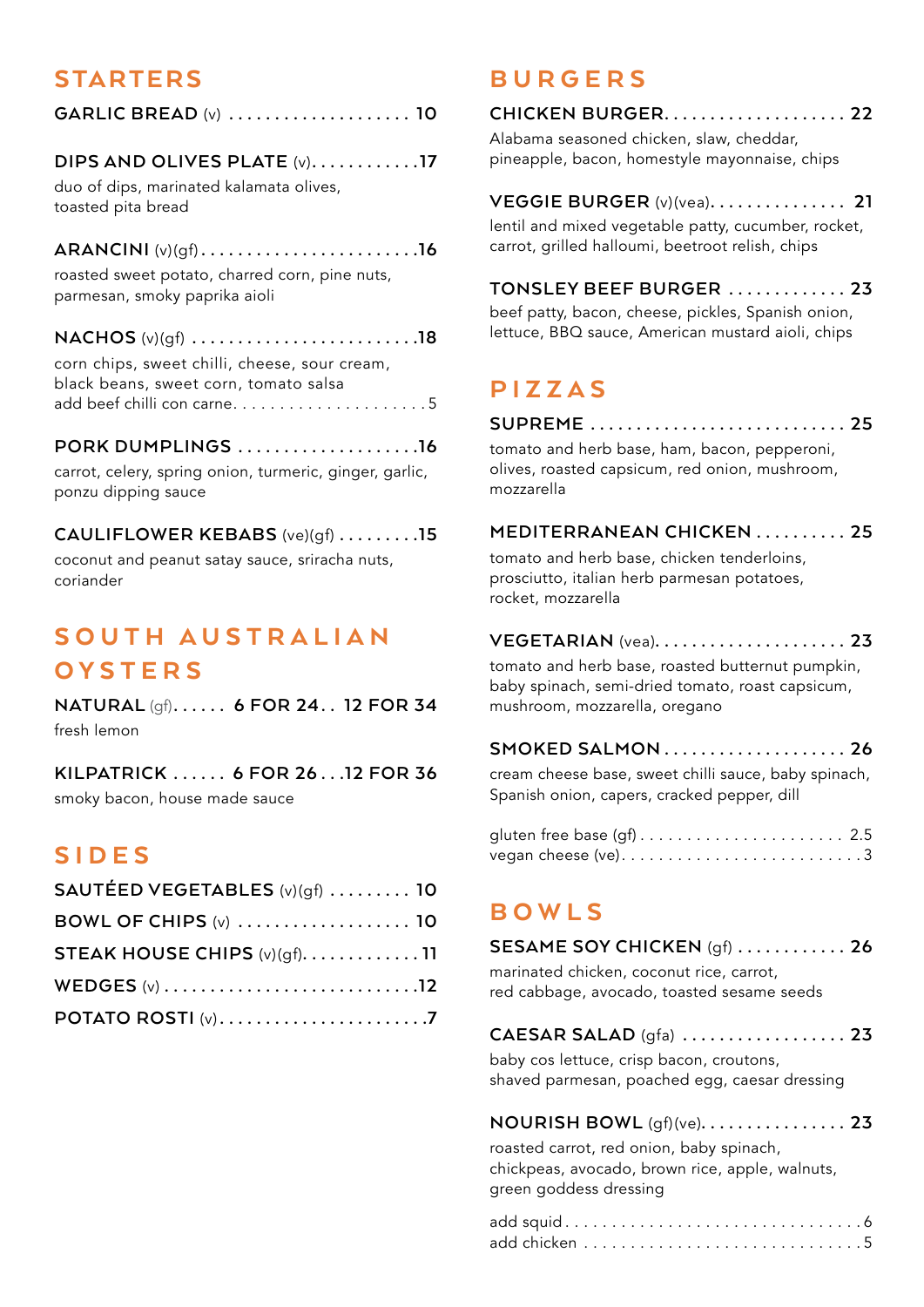## **STARTERS**

| GARLIC BREAD (v)  10 |  |  |  |
|----------------------|--|--|--|
|----------------------|--|--|--|

### **DIPS AND OLIVES PLATE** (v) **. . . . . . . . . . . .17**

duo of dips, marinated kalamata olives, toasted pita bread

**ARANCINI** (v)(gf) **. . . . . . . . . . . . . . . . . . . . . . . 16**

roasted sweet potato, charred corn, pine nuts, parmesan, smoky paprika aioli

#### **NACHOS** (v)(gf) **. . . . . . . . . . . . . . . . . . . . . . . . 18**

corn chips, sweet chilli, cheese, sour cream, black beans, sweet corn, tomato salsa add beef chilli con carne.  $\dots\dots\dots\dots\dots\dots$ 

#### **PORK DUMPLINGS . . . . . . . . . . . . . . . . . . . 16**

carrot, celery, spring onion, turmeric, ginger, garlic, ponzu dipping sauce

**CAULIFLOWER KEBABS** (ve)(gf) **. . . . . . . . 15**

coconut and peanut satay sauce, sriracha nuts, coriander

# SOUTH AUSTRALIAN OYSTERS

**NATURAL** (gf) **. . . . . . 6 FOR 24 . . 12 FOR 34** fresh lemon

**KILPATRICK . . . . . . 6 FOR 26 . . 12 FOR 36** 

smoky bacon, house made sauce

## SIDES

| SAUTÉED VEGETABLES $(v)(gf)$ 10 |  |
|---------------------------------|--|
| BOWL OF CHIPS (v)  10           |  |
| STEAK HOUSE CHIPS $(v)(gf)$ 11  |  |
|                                 |  |
| POTATO ROSTI (v)7               |  |

## BURGERS

### **CHICKEN BURGER . . . . . . . . . . . . . . . . . . . . 22**

Alabama seasoned chicken, slaw, cheddar, pineapple, bacon, homestyle mayonnaise, chips

| VEGGIE BURGER $(v)(vea)$ 21                         |
|-----------------------------------------------------|
| lentil and mixed vegetable patty, cucumber, rocket, |
| carrot, grilled halloumi, beetroot relish, chips    |

### **TONSLEY BEEF BURGER . . . . . . . . . . . . . 23**

beef patty, bacon, cheese, pickles, Spanish onion, lettuce, BBQ sauce, American mustard aioli, chips

# PIZZAS

#### **SUPREME . . . . . . . . . . . . . . . . . . . . . . . . . . . . 25**

tomato and herb base, ham, bacon, pepperoni, olives, roasted capsicum, red onion, mushroom, mozzarella

#### **MEDITERRANEAN CHICKEN . . . . . . . . . . 25**

tomato and herb base, chicken tenderloins, prosciutto, italian herb parmesan potatoes, rocket, mozzarella

#### **VEGETARIAN** (vea) **. . . . . . . . . . . . . . . . . . . . . 23**

tomato and herb base, roasted butternut pumpkin, baby spinach, semi-dried tomato, roast capsicum, mushroom, mozzarella, oregano

#### **SMOKED SALMON . . . . . . . . . . . . . . . . . . . . 26**

cream cheese base, sweet chilli sauce, baby spinach, Spanish onion, capers, cracked pepper, dill

| vegan cheese (ve). $\dots\dots\dots\dots\dots\dots\dots\dots\dots$ 3 |  |  |  |  |  |  |  |  |  |  |  |  |
|----------------------------------------------------------------------|--|--|--|--|--|--|--|--|--|--|--|--|

## BOWLS

| SESAME SOY CHICKEN $(gf)$ 26 |  |  |  |  |  |  |  |
|------------------------------|--|--|--|--|--|--|--|
|                              |  |  |  |  |  |  |  |

marinated chicken, coconut rice, carrot, red cabbage, avocado, toasted sesame seeds

**CAESAR SALAD** (gfa) **. . . . . . . . . . . . . . . . . . 23**

baby cos lettuce, crisp bacon, croutons, shaved parmesan, poached egg, caesar dressing

#### **NOURISH BOWL** (gf)(ve)**................ 23**

roasted carrot, red onion, baby spinach, chickpeas, avocado, brown rice, apple, walnuts, green goddess dressing